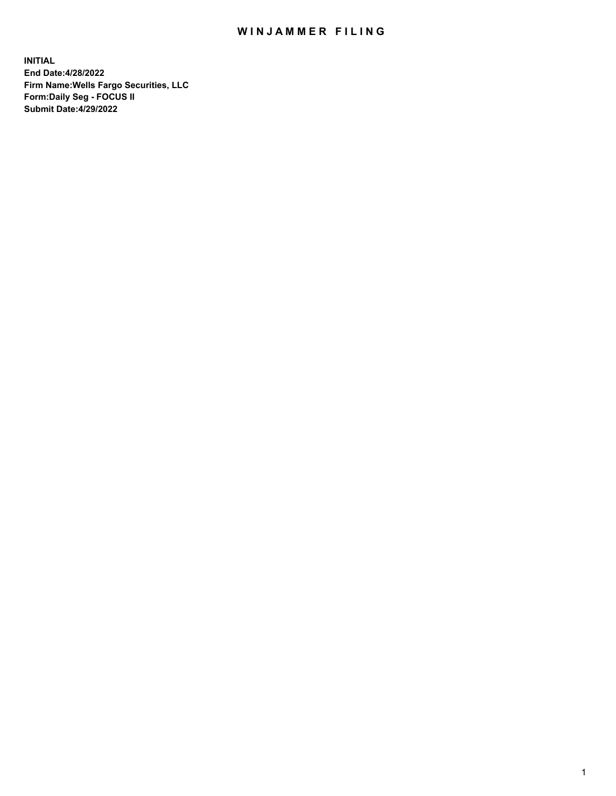## WIN JAMMER FILING

**INITIAL End Date:4/28/2022 Firm Name:Wells Fargo Securities, LLC Form:Daily Seg - FOCUS II Submit Date:4/29/2022**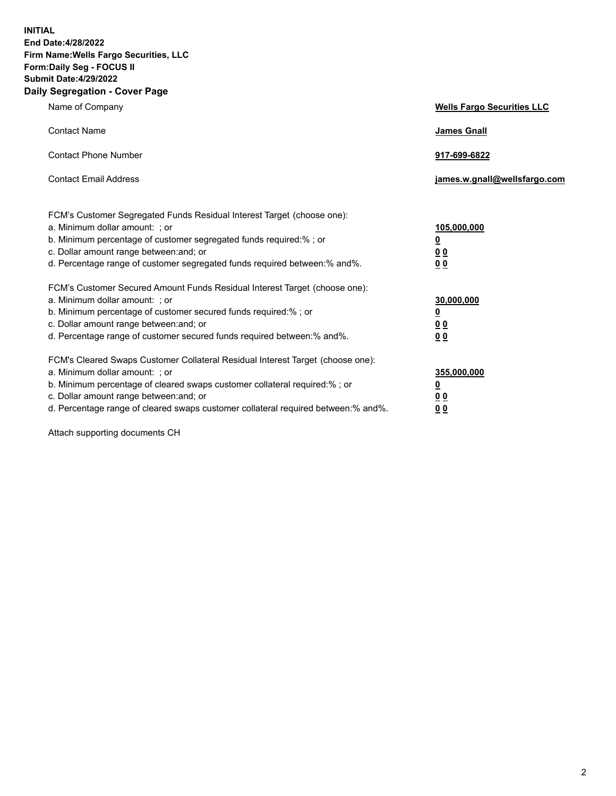**INITIAL End Date:4/28/2022 Firm Name:Wells Fargo Securities, LLC Form:Daily Seg - FOCUS II Submit Date:4/29/2022 Daily Segregation - Cover Page**

| Name of Company                                                                                                                                                                                                                                                                                                                | <b>Wells Fargo Securities LLC</b>                          |
|--------------------------------------------------------------------------------------------------------------------------------------------------------------------------------------------------------------------------------------------------------------------------------------------------------------------------------|------------------------------------------------------------|
| <b>Contact Name</b>                                                                                                                                                                                                                                                                                                            | <b>James Gnall</b>                                         |
| <b>Contact Phone Number</b>                                                                                                                                                                                                                                                                                                    | 917-699-6822                                               |
| <b>Contact Email Address</b>                                                                                                                                                                                                                                                                                                   | james.w.gnall@wellsfargo.com                               |
| FCM's Customer Segregated Funds Residual Interest Target (choose one):<br>a. Minimum dollar amount: ; or<br>b. Minimum percentage of customer segregated funds required:% ; or<br>c. Dollar amount range between: and; or<br>d. Percentage range of customer segregated funds required between:% and%.                         | 105,000,000<br><u>0</u><br>0 <sub>0</sub><br>00            |
| FCM's Customer Secured Amount Funds Residual Interest Target (choose one):<br>a. Minimum dollar amount: ; or<br>b. Minimum percentage of customer secured funds required:%; or<br>c. Dollar amount range between: and; or<br>d. Percentage range of customer secured funds required between:% and%.                            | 30,000,000<br><u>0</u><br>0 <sub>0</sub><br>0 <sub>0</sub> |
| FCM's Cleared Swaps Customer Collateral Residual Interest Target (choose one):<br>a. Minimum dollar amount: ; or<br>b. Minimum percentage of cleared swaps customer collateral required:% ; or<br>c. Dollar amount range between: and; or<br>d. Percentage range of cleared swaps customer collateral required between:% and%. | 355,000,000<br><u>0</u><br>00<br>00                        |

Attach supporting documents CH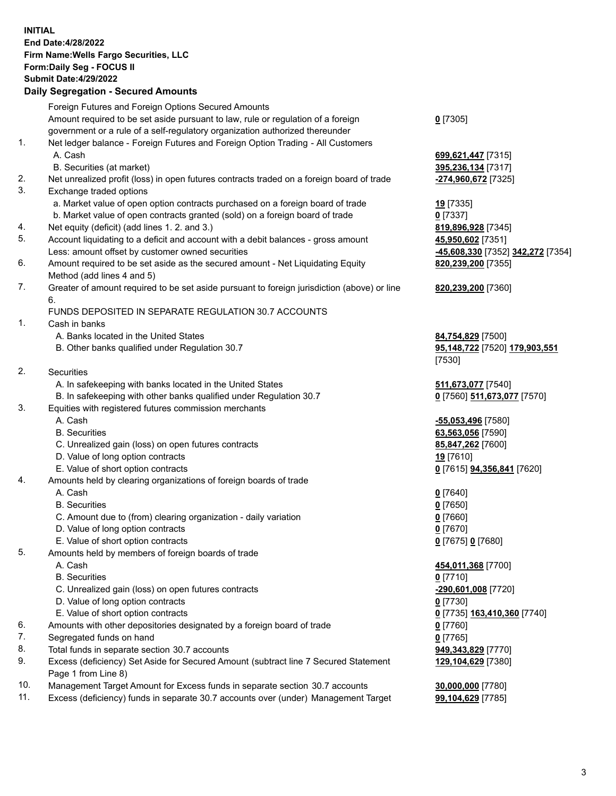**INITIAL End Date:4/28/2022 Firm Name:Wells Fargo Securities, LLC Form:Daily Seg - FOCUS II Submit Date:4/29/2022 Daily Segregation - Secured Amounts** Foreign Futures and Foreign Options Secured Amounts Amount required to be set aside pursuant to law, rule or regulation of a foreign government or a rule of a self-regulatory organization authorized thereunder

- 1. Net ledger balance Foreign Futures and Foreign Option Trading All Customers A. Cash **699,621,447** [7315]
	- B. Securities (at market) **395,236,134** [7317]
- 2. Net unrealized profit (loss) in open futures contracts traded on a foreign board of trade **-274,960,672** [7325]
- 3. Exchange traded options
	- a. Market value of open option contracts purchased on a foreign board of trade **19** [7335]
	- b. Market value of open contracts granted (sold) on a foreign board of trade **0** [7337]
- 4. Net equity (deficit) (add lines 1. 2. and 3.) **819,896,928** [7345]
- 5. Account liquidating to a deficit and account with a debit balances gross amount **45,950,602** [7351] Less: amount offset by customer owned securities **-45,608,330** [7352] **342,272** [7354]
- 6. Amount required to be set aside as the secured amount Net Liquidating Equity Method (add lines 4 and 5)
- 7. Greater of amount required to be set aside pursuant to foreign jurisdiction (above) or line 6.

## FUNDS DEPOSITED IN SEPARATE REGULATION 30.7 ACCOUNTS

- 1. Cash in banks
	- A. Banks located in the United States **84,754,829** [7500]
	- B. Other banks qualified under Regulation 30.7 **95,148,722** [7520] **179,903,551**
- 2. Securities
	- A. In safekeeping with banks located in the United States **511,673,077** [7540]
- B. In safekeeping with other banks qualified under Regulation 30.7 **0** [7560] **511,673,077** [7570]
- 3. Equities with registered futures commission merchants
	-
	-
	- C. Unrealized gain (loss) on open futures contracts **85,847,262** [7600]
	- D. Value of long option contracts **19** [7610]
	- E. Value of short option contracts **0** [7615] **94,356,841** [7620]
- 4. Amounts held by clearing organizations of foreign boards of trade
	- A. Cash **0** [7640]
	- B. Securities **0** [7650]
	- C. Amount due to (from) clearing organization daily variation **0** [7660]
	- D. Value of long option contracts **0** [7670]
	- E. Value of short option contracts **0** [7675] **0** [7680]
- 5. Amounts held by members of foreign boards of trade
	-
	- B. Securities **0** [7710]
	- C. Unrealized gain (loss) on open futures contracts **-290,601,008** [7720]
	- D. Value of long option contracts **0** [7730]
	- E. Value of short option contracts **0** [7735] **163,410,360** [7740]
- 6. Amounts with other depositories designated by a foreign board of trade **0** [7760]
- 7. Segregated funds on hand **0** [7765]
- 8. Total funds in separate section 30.7 accounts **949,343,829** [7770]
- 9. Excess (deficiency) Set Aside for Secured Amount (subtract line 7 Secured Statement Page 1 from Line 8)
- 10. Management Target Amount for Excess funds in separate section 30.7 accounts **30,000,000** [7780]
- 11. Excess (deficiency) funds in separate 30.7 accounts over (under) Management Target **99,104,629** [7785]
- **0** [7305]
- 
- **820,239,200** [7355]
- **820,239,200** [7360]
- [7530]
- 
- A. Cash **-55,053,496** [7580] B. Securities **63,563,056** [7590]
	-
- A. Cash **454,011,368** [7700] **129,104,629** [7380]
	-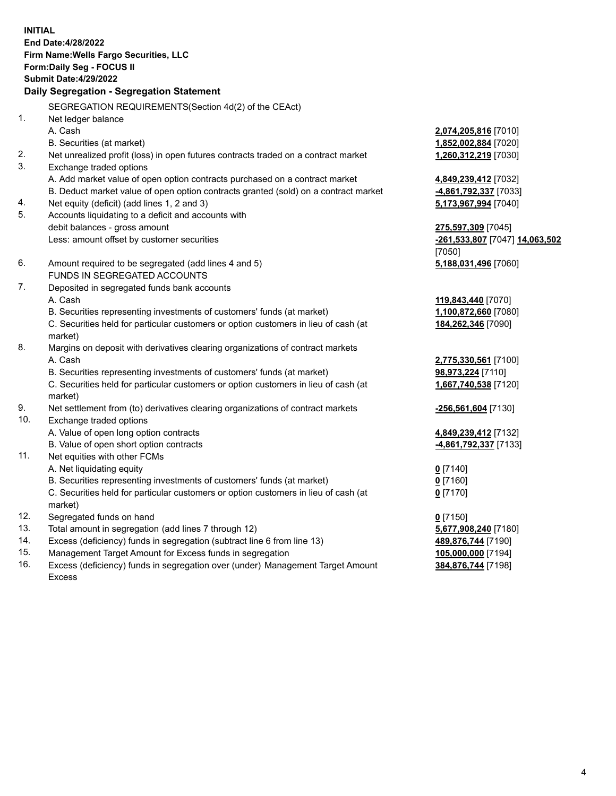**INITIAL End Date:4/28/2022 Firm Name:Wells Fargo Securities, LLC Form:Daily Seg - FOCUS II Submit Date:4/29/2022 Daily Segregation - Segregation Statement** SEGREGATION REQUIREMENTS(Section 4d(2) of the CEAct) 1. Net ledger balance A. Cash **2,074,205,816** [7010] B. Securities (at market) **1,852,002,884** [7020] 2. Net unrealized profit (loss) in open futures contracts traded on a contract market **1,260,312,219** [7030] 3. Exchange traded options A. Add market value of open option contracts purchased on a contract market **4,849,239,412** [7032] B. Deduct market value of open option contracts granted (sold) on a contract market **-4,861,792,337** [7033] 4. Net equity (deficit) (add lines 1, 2 and 3) **5,173,967,994** [7040] 5. Accounts liquidating to a deficit and accounts with debit balances - gross amount **275,597,309** [7045] Less: amount offset by customer securities **-261,533,807** [7047] **14,063,502** [7050] 6. Amount required to be segregated (add lines 4 and 5) **5,188,031,496** [7060] FUNDS IN SEGREGATED ACCOUNTS 7. Deposited in segregated funds bank accounts A. Cash **119,843,440** [7070] B. Securities representing investments of customers' funds (at market) **1,100,872,660** [7080] C. Securities held for particular customers or option customers in lieu of cash (at market) **184,262,346** [7090] 8. Margins on deposit with derivatives clearing organizations of contract markets A. Cash **2,775,330,561** [7100] B. Securities representing investments of customers' funds (at market) **98,973,224** [7110] C. Securities held for particular customers or option customers in lieu of cash (at market) **1,667,740,538** [7120] 9. Net settlement from (to) derivatives clearing organizations of contract markets **-256,561,604** [7130] 10. Exchange traded options A. Value of open long option contracts **4,849,239,412** [7132] B. Value of open short option contracts **and the set of open short option contracts -4,861,792,337** [7133] 11. Net equities with other FCMs A. Net liquidating equity **0** [7140] B. Securities representing investments of customers' funds (at market) **0** [7160]

- market)
- 12. Segregated funds on hand **000 and 12. <b>12. 12. <b>12. 12. 12. 12. 12. 12. 12. 12. 12. 12. 12. 12. 12. 12. 12. 12. 12. 12. 12. 12. 12. 12. 12. 12. 12. 12. 12. 12.**
- 13. Total amount in segregation (add lines 7 through 12)
- 14. Excess (deficiency) funds in segregation (subtract line 6 from line 13) **4**
- 15. Management Target Amount for Excess funds in segregation
- 16. Excess (deficiency) funds in segregation over (under) Management Target Amount Excess

C. Securities held for particular customers or option customers in lieu of cash (at

| 0 [7150]                        |
|---------------------------------|
| <b>5,677,908,240</b> [7180]     |
| <mark>489,876,744</mark> [7190] |
| <u>105,000,000</u> [7194]       |
| <mark>384,876,744</mark> [7198] |

**0** [7170]